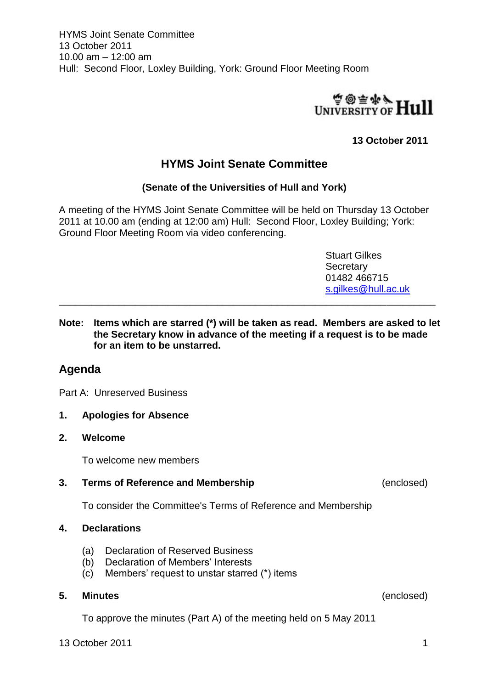

## **13 October 2011**

# **HYMS Joint Senate Committee**

## **(Senate of the Universities of Hull and York)**

A meeting of the HYMS Joint Senate Committee will be held on Thursday 13 October 2011 at 10.00 am (ending at 12:00 am) Hull: Second Floor, Loxley Building; York: Ground Floor Meeting Room via video conferencing.

> Stuart Gilkes **Secretary** 01482 466715 [s.gilkes@hull.ac.uk](mailto:s.gilkes@hull.ac.uk)

**Note: Items which are starred (\*) will be taken as read. Members are asked to let the Secretary know in advance of the meeting if a request is to be made for an item to be unstarred.**

\_\_\_\_\_\_\_\_\_\_\_\_\_\_\_\_\_\_\_\_\_\_\_\_\_\_\_\_\_\_\_\_\_\_\_\_\_\_\_\_\_\_\_\_\_\_\_\_\_\_\_\_\_\_\_\_\_\_\_\_\_\_\_\_\_\_\_\_\_

## **Agenda**

Part A: Unreserved Business

## **1. Apologies for Absence**

#### **2. Welcome**

To welcome new members

## **3. Terms of Reference and Membership** (enclosed)

To consider the Committee's Terms of Reference and Membership

#### **4. Declarations**

- (a) Declaration of Reserved Business
- (b) Declaration of Members' Interests
- (c) Members' request to unstar starred (\*) items

#### **5. Minutes** (enclosed)

To approve the minutes (Part A) of the meeting held on 5 May 2011

13 October 2011 **13 October 2011** 1